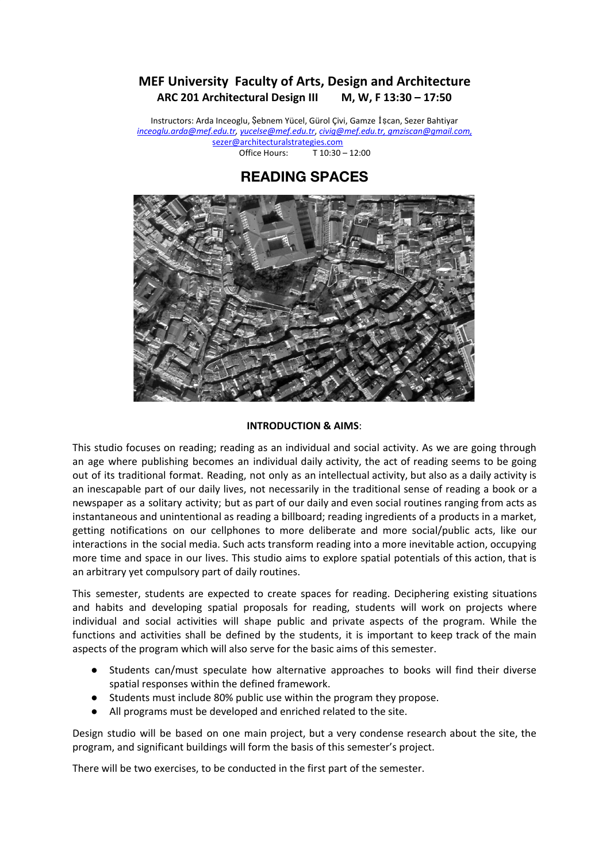# **MEF University Faculty of Arts, Design and Architecture ARC 201 Architectural Design III M, W, F 13:30 – 17:50**

Instructors: Arda Inceoglu, Şebnem Yücel, Gürol Çivi, Gamze İşcan, Sezer Bahtiyar *[inceoglu.arda@mef.edu.tr](mailto:inceoglu.arda@mef.edu.tr), [yucelse@mef.edu.tr](mailto:yucelse@mef.edu.tr)*, *[civig@mef.edu.tr,](mailto:civig@mef.edu.tr) [gmziscan@gmail.com](mailto:gmziscan@gmail.com),* [sezer@architecturalstrategies.com](mailto:sezer@architecturalstrategies.com)<br>Office Hours: T 10:30  $T 10:30 - 12:00$ 



# **READING SPACES**

## **INTRODUCTION & AIMS**:

This studio focuses on reading; reading as an individual and social activity. As we are going through an age where publishing becomes an individual daily activity, the act of reading seems to be going out of its traditional format. Reading, not only as an intellectual activity, but also as a daily activity is an inescapable part of our daily lives, not necessarily in the traditional sense of reading a book or a newspaper as a solitary activity; but as part of our daily and even social routines ranging from acts as instantaneous and unintentional as reading a billboard; reading ingredients of a products in a market, getting notifications on our cellphones to more deliberate and more social/public acts, like our interactions in the social media. Such acts transform reading into a more inevitable action, occupying more time and space in our lives. This studio aims to explore spatial potentials of this action, that is an arbitrary yet compulsory part of daily routines.

This semester, students are expected to create spaces for reading. Deciphering existing situations and habits and developing spatial proposals for reading, students will work on projects where individual and social activities will shape public and private aspects of the program. While the functions and activities shall be defined by the students, it is important to keep track of the main aspects of the program which will also serve for the basic aims of this semester.

- Students can/must speculate how alternative approaches to books will find their diverse spatial responses within the defined framework.
- Students must include 80% public use within the program they propose.
- All programs must be developed and enriched related to the site.

Design studio will be based on one main project, but a very condense research about the site, the program, and significant buildings will form the basis of this semester's project.

There will be two exercises, to be conducted in the first part of the semester.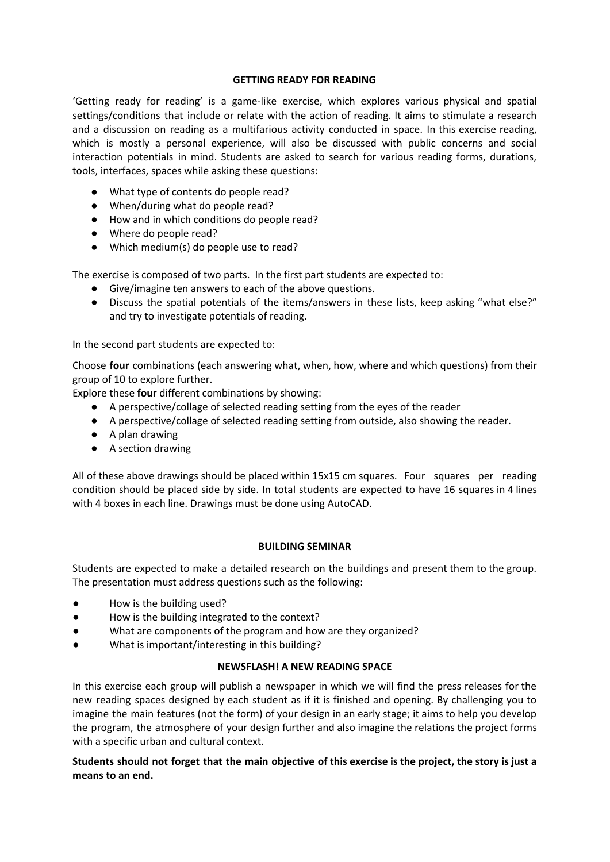#### **GETTING READY FOR READING**

'Getting ready for reading' is a game-like exercise, which explores various physical and spatial settings/conditions that include or relate with the action of reading. It aims to stimulate a research and a discussion on reading as a multifarious activity conducted in space. In this exercise reading, which is mostly a personal experience, will also be discussed with public concerns and social interaction potentials in mind. Students are asked to search for various reading forms, durations, tools, interfaces, spaces while asking these questions:

- What type of contents do people read?
- When/during what do people read?
- How and in which conditions do people read?
- Where do people read?
- Which medium(s) do people use to read?

The exercise is composed of two parts. In the first part students are expected to:

- Give/imagine ten answers to each of the above questions.
- Discuss the spatial potentials of the items/answers in these lists, keep asking "what else?" and try to investigate potentials of reading.

In the second part students are expected to:

Choose **four** combinations (each answering what, when, how, where and which questions) from their group of 10 to explore further.

Explore these **four** different combinations by showing:

- A perspective/collage of selected reading setting from the eyes of the reader
- A perspective/collage of selected reading setting from outside, also showing the reader.
- A plan drawing
- A section drawing

All of these above drawings should be placed within 15x15 cm squares. Four squares per reading condition should be placed side by side. In total students are expected to have 16 squares in 4 lines with 4 boxes in each line. Drawings must be done using AutoCAD.

## **BUILDING SEMINAR**

Students are expected to make a detailed research on the buildings and present them to the group. The presentation must address questions such as the following:

- How is the building used?
- How is the building integrated to the context?
- What are components of the program and how are they organized?
- What is important/interesting in this building?

## **NEWSFLASH! A NEW READING SPACE**

In this exercise each group will publish a newspaper in which we will find the press releases for the new reading spaces designed by each student as if it is finished and opening. By challenging you to imagine the main features (not the form) of your design in an early stage; it aims to help you develop the program, the atmosphere of your design further and also imagine the relations the project forms with a specific urban and cultural context.

## Students should not forget that the main objective of this exercise is the project, the story is just a **means to an end.**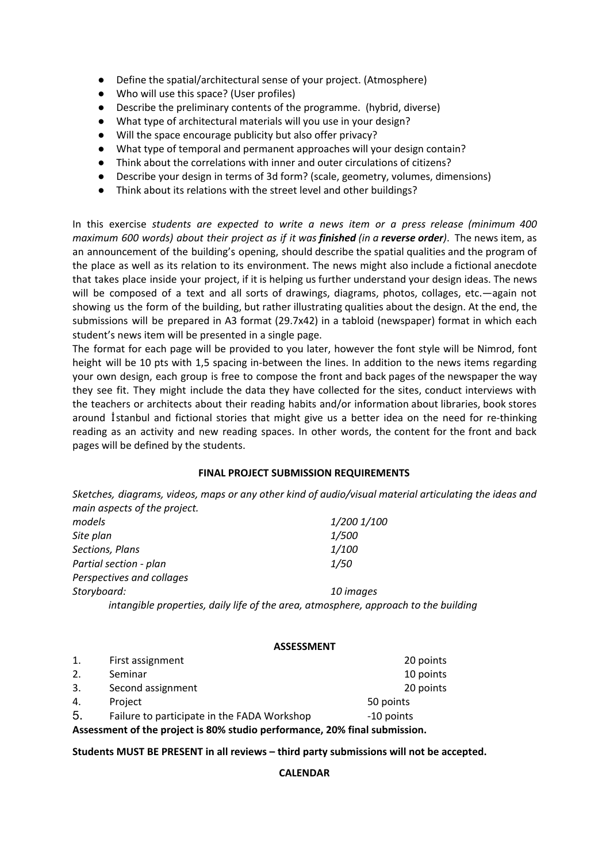- Define the spatial/architectural sense of your project. (Atmosphere)
- Who will use this space? (User profiles)
- Describe the preliminary contents of the programme. (hybrid, diverse)
- What type of architectural materials will you use in your design?
- Will the space encourage publicity but also offer privacy?
- What type of temporal and permanent approaches will your design contain?
- Think about the correlations with inner and outer circulations of citizens?
- Describe your design in terms of 3d form? (scale, geometry, volumes, dimensions)
- Think about its relations with the street level and other buildings?

In this exercise *students are expected to write a news item or a press release (minimum 400 maximum 600 words) about their project as if it was finished (in a reverse order)*. The news item, as an announcement of the building's opening, should describe the spatial qualities and the program of the place as well as its relation to its environment. The news might also include a fictional anecdote that takes place inside your project, if it is helping us further understand your design ideas. The news will be composed of a text and all sorts of drawings, diagrams, photos, collages, etc.—again not showing us the form of the building, but rather illustrating qualities about the design. At the end, the submissions will be prepared in A3 format (29.7x42) in a tabloid (newspaper) format in which each student's news item will be presented in a single page.

The format for each page will be provided to you later, however the font style will be Nimrod, font height will be 10 pts with 1,5 spacing in-between the lines. In addition to the news items regarding your own design, each group is free to compose the front and back pages of the newspaper the way they see fit. They might include the data they have collected for the sites, conduct interviews with the teachers or architects about their reading habits and/or information about libraries, book stores around İstanbul and fictional stories that might give us a better idea on the need for re-thinking reading as an activity and new reading spaces. In other words, the content for the front and back pages will be defined by the students.

## **FINAL PROJECT SUBMISSION REQUIREMENTS**

*Sketches, diagrams, videos, maps or any other kind of audio/visual material articulating the ideas and main aspects of the project.*

| models                                                                              | 1/200 1/100 |  |  |
|-------------------------------------------------------------------------------------|-------------|--|--|
| Site plan                                                                           | 1/500       |  |  |
| Sections, Plans                                                                     | 1/100       |  |  |
| Partial section - plan                                                              | 1/50        |  |  |
| Perspectives and collages                                                           |             |  |  |
| Storyboard:                                                                         | 10 images   |  |  |
| intangible properties, daily life of the area, atmosphere, approach to the building |             |  |  |

#### **ASSESSMENT**

| 1.                                                                         | First assignment                            | 20 points  |  |  |
|----------------------------------------------------------------------------|---------------------------------------------|------------|--|--|
| 2.                                                                         | Seminar                                     | 10 points  |  |  |
| 3.                                                                         | Second assignment                           | 20 points  |  |  |
| 4.                                                                         | Project                                     | 50 points  |  |  |
| 5.                                                                         | Failure to participate in the FADA Workshop | -10 points |  |  |
| Assessment of the project is 80% studio performance, 20% final submission. |                                             |            |  |  |

#### **Students MUST BE PRESENT in all reviews – third party submissions will not be accepted.**

#### **CALENDAR**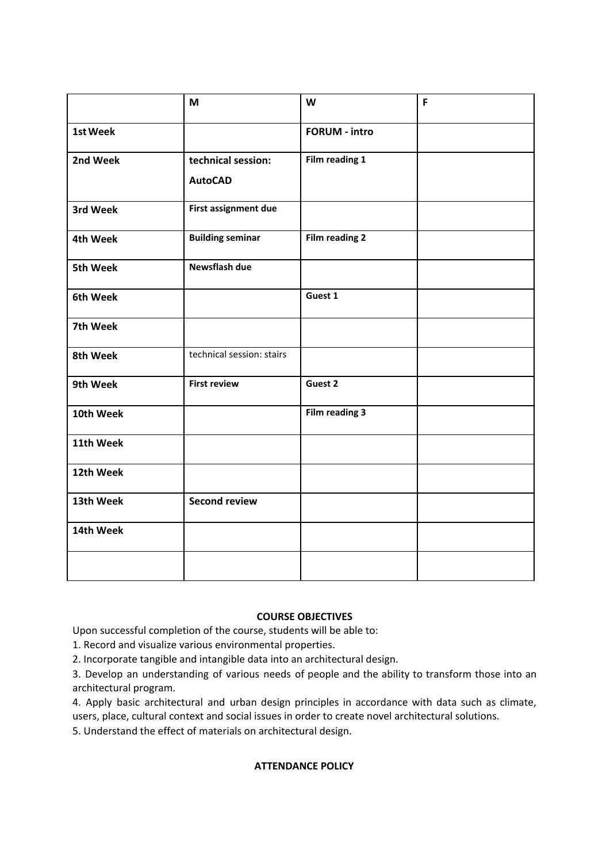|           | M                                    | W                    | F |
|-----------|--------------------------------------|----------------------|---|
| 1st Week  |                                      | <b>FORUM - intro</b> |   |
| 2nd Week  | technical session:<br><b>AutoCAD</b> | Film reading 1       |   |
| 3rd Week  | First assignment due                 |                      |   |
| 4th Week  | <b>Building seminar</b>              | Film reading 2       |   |
| 5th Week  | Newsflash due                        |                      |   |
| 6th Week  |                                      | Guest 1              |   |
| 7th Week  |                                      |                      |   |
| 8th Week  | technical session: stairs            |                      |   |
| 9th Week  | <b>First review</b>                  | Guest 2              |   |
| 10th Week |                                      | Film reading 3       |   |
| 11th Week |                                      |                      |   |
| 12th Week |                                      |                      |   |
| 13th Week | <b>Second review</b>                 |                      |   |
| 14th Week |                                      |                      |   |
|           |                                      |                      |   |

# **COURSE OBJECTIVES**

Upon successful completion of the course, students will be able to:

1. Record and visualize various environmental properties.

2. Incorporate tangible and intangible data into an architectural design.

3. Develop an understanding of various needs of people and the ability to transform those into an architectural program.

4. Apply basic architectural and urban design principles in accordance with data such as climate, users, place, cultural context and social issues in order to create novel architectural solutions.

5. Understand the effect of materials on architectural design.

# **ATTENDANCE POLICY**